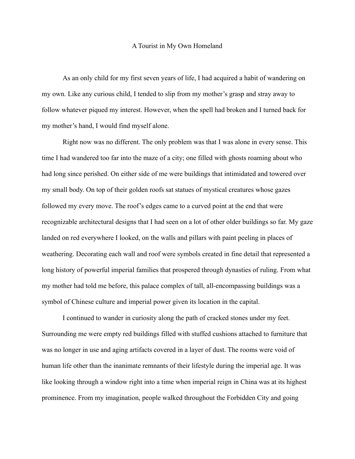## A Tourist in My Own Homeland

As an only child for my first seven years of life, I had acquired a habit of wandering on my own. Like any curious child, I tended to slip from my mother's grasp and stray away to follow whatever piqued my interest. However, when the spell had broken and I turned back for my mother's hand, I would find myself alone.

Right now was no different. The only problem was that I was alone in every sense. This time I had wandered too far into the maze of a city; one filled with ghosts roaming about who had long since perished. On either side of me were buildings that intimidated and towered over my small body. On top of their golden roofs sat statues of mystical creatures whose gazes followed my every move. The roof's edges came to a curved point at the end that were recognizable architectural designs that I had seen on a lot of other older buildings so far. My gaze landed on red everywhere I looked, on the walls and pillars with paint peeling in places of weathering. Decorating each wall and roof were symbols created in fine detail that represented a long history of powerful imperial families that prospered through dynasties of ruling. From what my mother had told me before, this palace complex of tall, all-encompassing buildings was a symbol of Chinese culture and imperial power given its location in the capital.

I continued to wander in curiosity along the path of cracked stones under my feet. Surrounding me were empty red buildings filled with stuffed cushions attached to furniture that was no longer in use and aging artifacts covered in a layer of dust. The rooms were void of human life other than the inanimate remnants of their lifestyle during the imperial age. It was like looking through a window right into a time when imperial reign in China was at its highest prominence. From my imagination, people walked throughout the Forbidden City and going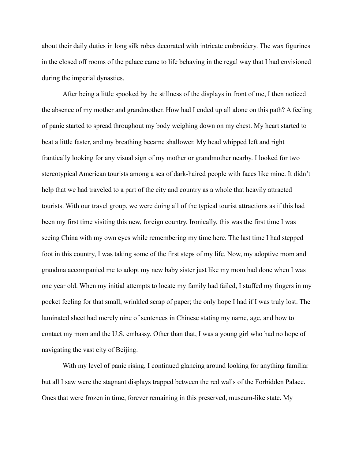about their daily duties in long silk robes decorated with intricate embroidery. The wax figurines in the closed off rooms of the palace came to life behaving in the regal way that I had envisioned during the imperial dynasties.

After being a little spooked by the stillness of the displays in front of me, I then noticed the absence of my mother and grandmother. How had I ended up all alone on this path? A feeling of panic started to spread throughout my body weighing down on my chest. My heart started to beat a little faster, and my breathing became shallower. My head whipped left and right frantically looking for any visual sign of my mother or grandmother nearby. I looked for two stereotypical American tourists among a sea of dark-haired people with faces like mine. It didn't help that we had traveled to a part of the city and country as a whole that heavily attracted tourists. With our travel group, we were doing all of the typical tourist attractions as if this had been my first time visiting this new, foreign country. Ironically, this was the first time I was seeing China with my own eyes while remembering my time here. The last time I had stepped foot in this country, I was taking some of the first steps of my life. Now, my adoptive mom and grandma accompanied me to adopt my new baby sister just like my mom had done when I was one year old. When my initial attempts to locate my family had failed, I stuffed my fingers in my pocket feeling for that small, wrinkled scrap of paper; the only hope I had if I was truly lost. The laminated sheet had merely nine of sentences in Chinese stating my name, age, and how to contact my mom and the U.S. embassy. Other than that, I was a young girl who had no hope of navigating the vast city of Beijing.

With my level of panic rising, I continued glancing around looking for anything familiar but all I saw were the stagnant displays trapped between the red walls of the Forbidden Palace. Ones that were frozen in time, forever remaining in this preserved, museum-like state. My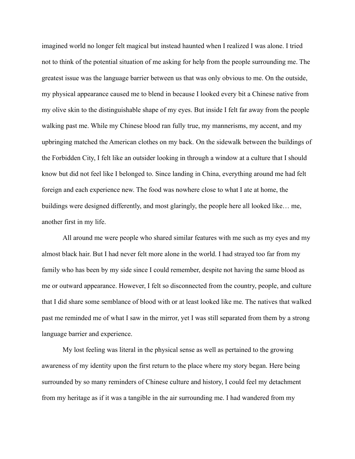imagined world no longer felt magical but instead haunted when I realized I was alone. I tried not to think of the potential situation of me asking for help from the people surrounding me. The greatest issue was the language barrier between us that was only obvious to me. On the outside, my physical appearance caused me to blend in because I looked every bit a Chinese native from my olive skin to the distinguishable shape of my eyes. But inside I felt far away from the people walking past me. While my Chinese blood ran fully true, my mannerisms, my accent, and my upbringing matched the American clothes on my back. On the sidewalk between the buildings of the Forbidden City, I felt like an outsider looking in through a window at a culture that I should know but did not feel like I belonged to. Since landing in China, everything around me had felt foreign and each experience new. The food was nowhere close to what I ate at home, the buildings were designed differently, and most glaringly, the people here all looked like… me, another first in my life.

All around me were people who shared similar features with me such as my eyes and my almost black hair. But I had never felt more alone in the world. I had strayed too far from my family who has been by my side since I could remember, despite not having the same blood as me or outward appearance. However, I felt so disconnected from the country, people, and culture that I did share some semblance of blood with or at least looked like me. The natives that walked past me reminded me of what I saw in the mirror, yet I was still separated from them by a strong language barrier and experience.

My lost feeling was literal in the physical sense as well as pertained to the growing awareness of my identity upon the first return to the place where my story began. Here being surrounded by so many reminders of Chinese culture and history, I could feel my detachment from my heritage as if it was a tangible in the air surrounding me. I had wandered from my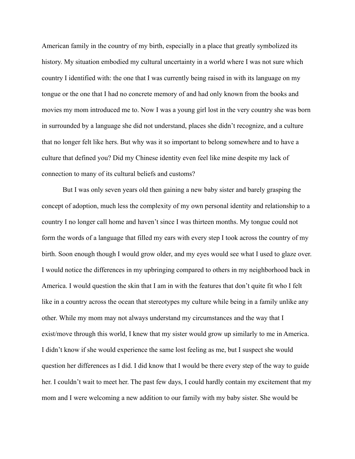American family in the country of my birth, especially in a place that greatly symbolized its history. My situation embodied my cultural uncertainty in a world where I was not sure which country I identified with: the one that I was currently being raised in with its language on my tongue or the one that I had no concrete memory of and had only known from the books and movies my mom introduced me to. Now I was a young girl lost in the very country she was born in surrounded by a language she did not understand, places she didn't recognize, and a culture that no longer felt like hers. But why was it so important to belong somewhere and to have a culture that defined you? Did my Chinese identity even feel like mine despite my lack of connection to many of its cultural beliefs and customs?

But I was only seven years old then gaining a new baby sister and barely grasping the concept of adoption, much less the complexity of my own personal identity and relationship to a country I no longer call home and haven't since I was thirteen months. My tongue could not form the words of a language that filled my ears with every step I took across the country of my birth. Soon enough though I would grow older, and my eyes would see what I used to glaze over. I would notice the differences in my upbringing compared to others in my neighborhood back in America. I would question the skin that I am in with the features that don't quite fit who I felt like in a country across the ocean that stereotypes my culture while being in a family unlike any other. While my mom may not always understand my circumstances and the way that I exist/move through this world, I knew that my sister would grow up similarly to me in America. I didn't know if she would experience the same lost feeling as me, but I suspect she would question her differences as I did. I did know that I would be there every step of the way to guide her. I couldn't wait to meet her. The past few days, I could hardly contain my excitement that my mom and I were welcoming a new addition to our family with my baby sister. She would be